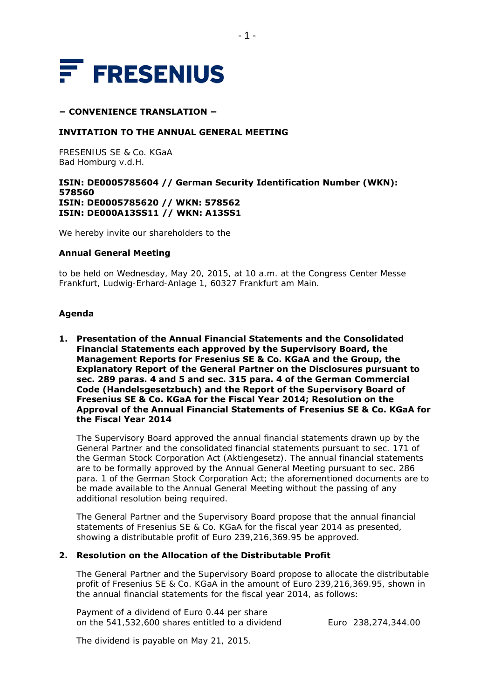

### **− CONVENIENCE TRANSLATION −**

## **INVITATION TO THE ANNUAL GENERAL MEETING**

FRESENIUS SE & Co. KGaA Bad Homburg v.d.H.

### **ISIN: DE0005785604 // German Security Identification Number (WKN): 578560 ISIN: DE0005785620 // WKN: 578562 ISIN: DE000A13SS11 // WKN: A13SS1**

We hereby invite our shareholders to the

#### **Annual General Meeting**

to be held on Wednesday, May 20, 2015, at 10 a.m. at the Congress Center Messe Frankfurt, Ludwig-Erhard-Anlage 1, 60327 Frankfurt am Main.

## **Agenda**

**1. Presentation of the Annual Financial Statements and the Consolidated Financial Statements each approved by the Supervisory Board, the Management Reports for Fresenius SE & Co. KGaA and the Group, the Explanatory Report of the General Partner on the Disclosures pursuant to sec. 289 paras. 4 and 5 and sec. 315 para. 4 of the German Commercial Code (***Handelsgesetzbuch***) and the Report of the Supervisory Board of Fresenius SE & Co. KGaA for the Fiscal Year 2014; Resolution on the Approval of the Annual Financial Statements of Fresenius SE & Co. KGaA for the Fiscal Year 2014** 

The Supervisory Board approved the annual financial statements drawn up by the General Partner and the consolidated financial statements pursuant to sec. 171 of the German Stock Corporation Act (*Aktiengesetz*). The annual financial statements are to be formally approved by the Annual General Meeting pursuant to sec. 286 para. 1 of the German Stock Corporation Act; the aforementioned documents are to be made available to the Annual General Meeting without the passing of any additional resolution being required.

The General Partner and the Supervisory Board propose that the annual financial statements of Fresenius SE & Co. KGaA for the fiscal year 2014 as presented, showing a distributable profit of Euro 239,216,369.95 be approved.

### **2. Resolution on the Allocation of the Distributable Profit**

The General Partner and the Supervisory Board propose to allocate the distributable profit of Fresenius SE & Co. KGaA in the amount of Euro 239,216,369.95, shown in the annual financial statements for the fiscal year 2014, as follows:

Payment of a dividend of Euro 0.44 per share on the 541,532,600 shares entitled to a dividend Euro 238,274,344.00

The dividend is payable on May 21, 2015.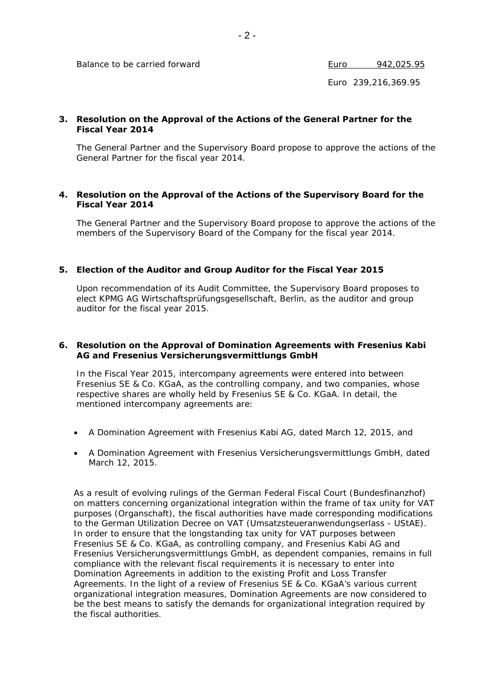Balance to be carried forward Euro 1942,025.95

Euro 239,216,369.95

## **3. Resolution on the Approval of the Actions of the General Partner for the Fiscal Year 2014**

The General Partner and the Supervisory Board propose to approve the actions of the General Partner for the fiscal year 2014.

### **4. Resolution on the Approval of the Actions of the Supervisory Board for the Fiscal Year 2014**

The General Partner and the Supervisory Board propose to approve the actions of the members of the Supervisory Board of the Company for the fiscal year 2014.

## **5. Election of the Auditor and Group Auditor for the Fiscal Year 2015**

Upon recommendation of its Audit Committee, the Supervisory Board proposes to elect KPMG AG Wirtschaftsprüfungsgesellschaft, Berlin, as the auditor and group auditor for the fiscal year 2015.

## **6. Resolution on the Approval of Domination Agreements with Fresenius Kabi AG and Fresenius Versicherungsvermittlungs GmbH**

In the Fiscal Year 2015, intercompany agreements were entered into between Fresenius SE & Co. KGaA, as the controlling company, and two companies, whose respective shares are wholly held by Fresenius SE & Co. KGaA. In detail, the mentioned intercompany agreements are:

- A Domination Agreement with Fresenius Kabi AG, dated March 12, 2015, and
- A Domination Agreement with Fresenius Versicherungsvermittlungs GmbH, dated March 12, 2015.

As a result of evolving rulings of the German Federal Fiscal Court *(Bundesfinanzhof)* on matters concerning organizational integration within the frame of tax unity for VAT purposes (*Organschaft*), the fiscal authorities have made corresponding modifications to the German Utilization Decree on VAT *(Umsatzsteueranwendungserlass - UStAE)*. In order to ensure that the longstanding tax unity for VAT purposes between Fresenius SE & Co. KGaA, as controlling company, and Fresenius Kabi AG and Fresenius Versicherungsvermittlungs GmbH, as dependent companies, remains in full compliance with the relevant fiscal requirements it is necessary to enter into Domination Agreements in addition to the existing Profit and Loss Transfer Agreements. In the light of a review of Fresenius SE & Co. KGaA's various current organizational integration measures, Domination Agreements are now considered to be the best means to satisfy the demands for organizational integration required by the fiscal authorities.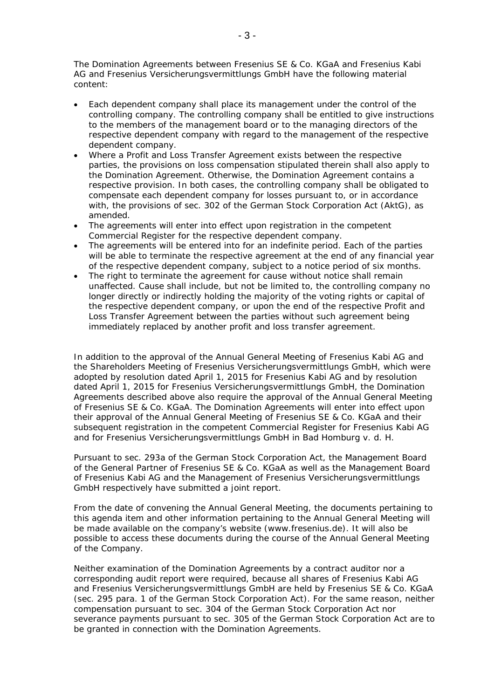The Domination Agreements between Fresenius SE & Co. KGaA and Fresenius Kabi AG and Fresenius Versicherungsvermittlungs GmbH have the following material content:

- Each dependent company shall place its management under the control of the controlling company. The controlling company shall be entitled to give instructions to the members of the management board or to the managing directors of the respective dependent company with regard to the management of the respective dependent company.
- Where a Profit and Loss Transfer Agreement exists between the respective parties, the provisions on loss compensation stipulated therein shall also apply to the Domination Agreement. Otherwise, the Domination Agreement contains a respective provision. In both cases, the controlling company shall be obligated to compensate each dependent company for losses pursuant to, or in accordance with, the provisions of sec. 302 of the German Stock Corporation Act (*AktG*), as amended.
- The agreements will enter into effect upon registration in the competent Commercial Register for the respective dependent company.
- The agreements will be entered into for an indefinite period. Each of the parties will be able to terminate the respective agreement at the end of any financial year of the respective dependent company, subject to a notice period of six months.
- The right to terminate the agreement for cause without notice shall remain unaffected. Cause shall include, but not be limited to, the controlling company no longer directly or indirectly holding the majority of the voting rights or capital of the respective dependent company, or upon the end of the respective Profit and Loss Transfer Agreement between the parties without such agreement being immediately replaced by another profit and loss transfer agreement.

In addition to the approval of the Annual General Meeting of Fresenius Kabi AG and the Shareholders Meeting of Fresenius Versicherungsvermittlungs GmbH, which were adopted by resolution dated April 1, 2015 for Fresenius Kabi AG and by resolution dated April 1, 2015 for Fresenius Versicherungsvermittlungs GmbH, the Domination Agreements described above also require the approval of the Annual General Meeting of Fresenius SE & Co. KGaA. The Domination Agreements will enter into effect upon their approval of the Annual General Meeting of Fresenius SE & Co. KGaA and their subsequent registration in the competent Commercial Register for Fresenius Kabi AG and for Fresenius Versicherungsvermittlungs GmbH in Bad Homburg v. d. H.

Pursuant to sec. 293a of the German Stock Corporation Act, the Management Board of the General Partner of Fresenius SE & Co. KGaA as well as the Management Board of Fresenius Kabi AG and the Management of Fresenius Versicherungsvermittlungs GmbH respectively have submitted a joint report.

From the date of convening the Annual General Meeting, the documents pertaining to this agenda item and other information pertaining to the Annual General Meeting will be made available on the company's website (www.fresenius.de). It will also be possible to access these documents during the course of the Annual General Meeting of the Company.

Neither examination of the Domination Agreements by a contract auditor nor a corresponding audit report were required, because all shares of Fresenius Kabi AG and Fresenius Versicherungsvermittlungs GmbH are held by Fresenius SE & Co. KGaA (sec. 295 para. 1 of the German Stock Corporation Act). For the same reason, neither compensation pursuant to sec. 304 of the German Stock Corporation Act nor severance payments pursuant to sec. 305 of the German Stock Corporation Act are to be granted in connection with the Domination Agreements.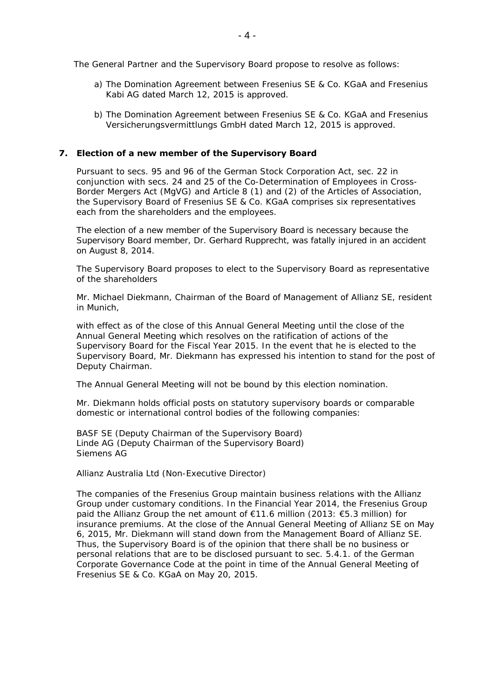The General Partner and the Supervisory Board propose to resolve as follows:

- a) The Domination Agreement between Fresenius SE & Co. KGaA and Fresenius Kabi AG dated March 12, 2015 is approved.
- b) The Domination Agreement between Fresenius SE & Co. KGaA and Fresenius Versicherungsvermittlungs GmbH dated March 12, 2015 is approved.

## **7. Election of a new member of the Supervisory Board**

Pursuant to secs. 95 and 96 of the German Stock Corporation Act, sec. 22 in conjunction with secs. 24 and 25 of the Co-Determination of Employees in Cross-Border Mergers Act (*MgVG*) and Article 8 (1) and (2) of the Articles of Association, the Supervisory Board of Fresenius SE & Co. KGaA comprises six representatives each from the shareholders and the employees.

The election of a new member of the Supervisory Board is necessary because the Supervisory Board member, Dr. Gerhard Rupprecht, was fatally injured in an accident on August 8, 2014.

The Supervisory Board proposes to elect to the Supervisory Board as representative of the shareholders

Mr. Michael Diekmann, Chairman of the Board of Management of Allianz SE, resident in Munich,

with effect as of the close of this Annual General Meeting until the close of the Annual General Meeting which resolves on the ratification of actions of the Supervisory Board for the Fiscal Year 2015. In the event that he is elected to the Supervisory Board, Mr. Diekmann has expressed his intention to stand for the post of Deputy Chairman.

The Annual General Meeting will not be bound by this election nomination.

Mr. Diekmann holds official posts on statutory supervisory boards or comparable domestic or international control bodies of the following companies:

BASF SE (Deputy Chairman of the Supervisory Board) Linde AG (Deputy Chairman of the Supervisory Board) Siemens AG

Allianz Australia Ltd (Non-Executive Director)

The companies of the Fresenius Group maintain business relations with the Allianz Group under customary conditions. In the Financial Year 2014, the Fresenius Group paid the Allianz Group the net amount of €11.6 million (2013: €5.3 million) for insurance premiums. At the close of the Annual General Meeting of Allianz SE on May 6, 2015, Mr. Diekmann will stand down from the Management Board of Allianz SE. Thus, the Supervisory Board is of the opinion that there shall be no business or personal relations that are to be disclosed pursuant to sec. 5.4.1. of the German Corporate Governance Code at the point in time of the Annual General Meeting of Fresenius SE & Co. KGaA on May 20, 2015.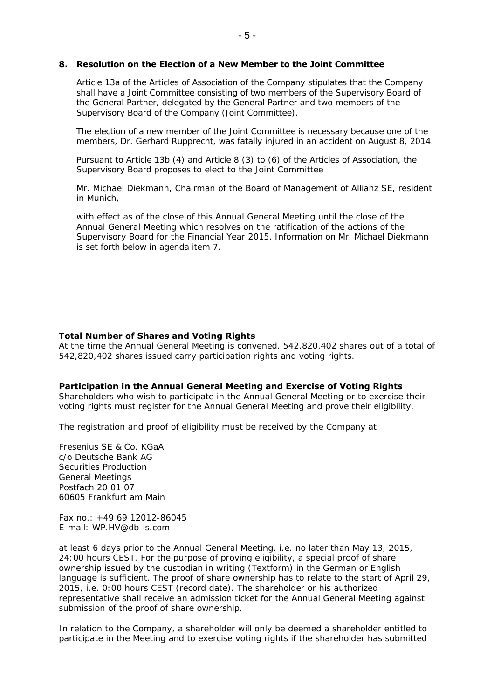### **8. Resolution on the Election of a New Member to the Joint Committee**

Article 13a of the Articles of Association of the Company stipulates that the Company shall have a Joint Committee consisting of two members of the Supervisory Board of the General Partner, delegated by the General Partner and two members of the Supervisory Board of the Company (Joint Committee).

The election of a new member of the Joint Committee is necessary because one of the members, Dr. Gerhard Rupprecht, was fatally injured in an accident on August 8, 2014.

Pursuant to Article 13b (4) and Article 8 (3) to (6) of the Articles of Association, the Supervisory Board proposes to elect to the Joint Committee

Mr. Michael Diekmann, Chairman of the Board of Management of Allianz SE, resident in Munich,

with effect as of the close of this Annual General Meeting until the close of the Annual General Meeting which resolves on the ratification of the actions of the Supervisory Board for the Financial Year 2015. Information on Mr. Michael Diekmann is set forth below in agenda item 7.

### **Total Number of Shares and Voting Rights**

At the time the Annual General Meeting is convened, 542,820,402 shares out of a total of 542,820,402 shares issued carry participation rights and voting rights.

#### **Participation in the Annual General Meeting and Exercise of Voting Rights**

Shareholders who wish to participate in the Annual General Meeting or to exercise their voting rights must register for the Annual General Meeting and prove their eligibility.

The registration and proof of eligibility must be received by the Company at

Fresenius SE & Co. KGaA c/o Deutsche Bank AG Securities Production General Meetings Postfach 20 01 07 60605 Frankfurt am Main

Fax no.: +49 69 12012-86045 E-mail: WP.HV@db-is.com

at least 6 days prior to the Annual General Meeting, i.e. no later than May 13, 2015, 24:00 hours CEST. For the purpose of proving eligibility, a special proof of share ownership issued by the custodian in writing (*Textform*) in the German or English language is sufficient. The proof of share ownership has to relate to the start of April 29, 2015, i.e. 0:00 hours CEST (record date). The shareholder or his authorized representative shall receive an admission ticket for the Annual General Meeting against submission of the proof of share ownership.

In relation to the Company, a shareholder will only be deemed a shareholder entitled to participate in the Meeting and to exercise voting rights if the shareholder has submitted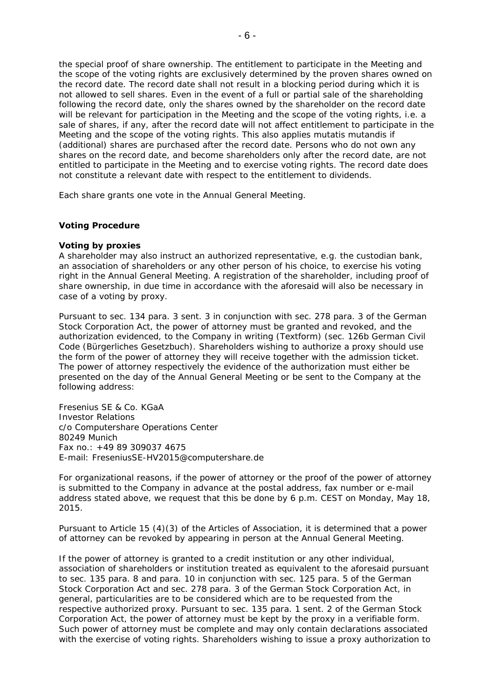the special proof of share ownership. The entitlement to participate in the Meeting and the scope of the voting rights are exclusively determined by the proven shares owned on the record date. The record date shall not result in a blocking period during which it is not allowed to sell shares. Even in the event of a full or partial sale of the shareholding following the record date, only the shares owned by the shareholder on the record date will be relevant for participation in the Meeting and the scope of the voting rights, i.e. a sale of shares, if any, after the record date will not affect entitlement to participate in the Meeting and the scope of the voting rights. This also applies mutatis mutandis if (additional) shares are purchased after the record date. Persons who do not own any shares on the record date, and become shareholders only after the record date, are not entitled to participate in the Meeting and to exercise voting rights. The record date does not constitute a relevant date with respect to the entitlement to dividends.

Each share grants one vote in the Annual General Meeting.

### **Voting Procedure**

#### *Voting by proxies*

A shareholder may also instruct an authorized representative, e.g. the custodian bank, an association of shareholders or any other person of his choice, to exercise his voting right in the Annual General Meeting. A registration of the shareholder, including proof of share ownership, in due time in accordance with the aforesaid will also be necessary in case of a voting by proxy.

Pursuant to sec. 134 para. 3 sent. 3 in conjunction with sec. 278 para. 3 of the German Stock Corporation Act, the power of attorney must be granted and revoked, and the authorization evidenced, to the Company in writing (*Textform*) (sec. 126b German Civil Code (*Bürgerliches Gesetzbuch*). Shareholders wishing to authorize a proxy should use the form of the power of attorney they will receive together with the admission ticket. The power of attorney respectively the evidence of the authorization must either be presented on the day of the Annual General Meeting or be sent to the Company at the following address:

Fresenius SE & Co. KGaA Investor Relations c/o Computershare Operations Center 80249 Munich Fax no.: +49 89 309037 4675 E-mail: FreseniusSE-HV2015@computershare.de

For organizational reasons, if the power of attorney or the proof of the power of attorney is submitted to the Company in advance at the postal address, fax number or e-mail address stated above, we request that this be done by 6 p.m. CEST on Monday, May 18, 2015.

Pursuant to Article 15 (4)(3) of the Articles of Association, it is determined that a power of attorney can be revoked by appearing in person at the Annual General Meeting.

If the power of attorney is granted to a credit institution or any other individual, association of shareholders or institution treated as equivalent to the aforesaid pursuant to sec. 135 para. 8 and para. 10 in conjunction with sec. 125 para. 5 of the German Stock Corporation Act and sec. 278 para. 3 of the German Stock Corporation Act, in general, particularities are to be considered which are to be requested from the respective authorized proxy. Pursuant to sec. 135 para. 1 sent. 2 of the German Stock Corporation Act, the power of attorney must be kept by the proxy in a verifiable form. Such power of attorney must be complete and may only contain declarations associated with the exercise of voting rights. Shareholders wishing to issue a proxy authorization to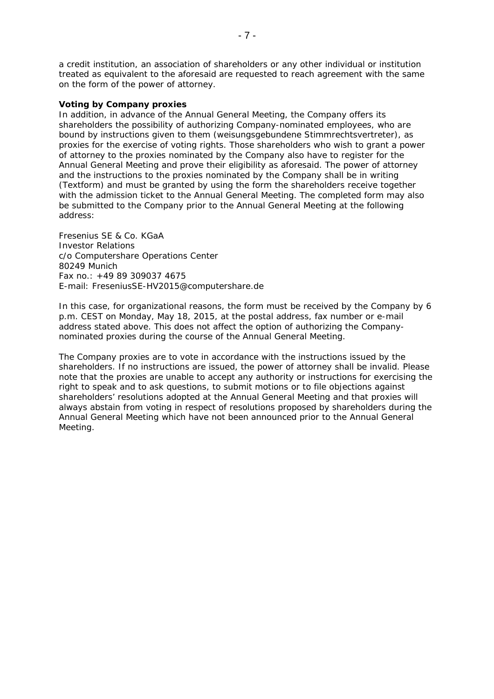a credit institution, an association of shareholders or any other individual or institution treated as equivalent to the aforesaid are requested to reach agreement with the same on the form of the power of attorney.

### *Voting by Company proxies*

In addition, in advance of the Annual General Meeting, the Company offers its shareholders the possibility of authorizing Company-nominated employees, who are bound by instructions given to them (*weisungsgebundene Stimmrechtsvertreter*), as proxies for the exercise of voting rights. Those shareholders who wish to grant a power of attorney to the proxies nominated by the Company also have to register for the Annual General Meeting and prove their eligibility as aforesaid. The power of attorney and the instructions to the proxies nominated by the Company shall be in writing (*Textform*) and must be granted by using the form the shareholders receive together with the admission ticket to the Annual General Meeting. The completed form may also be submitted to the Company prior to the Annual General Meeting at the following address:

Fresenius SE & Co. KGaA Investor Relations c/o Computershare Operations Center 80249 Munich Fax no.: +49 89 309037 4675 E-mail: FreseniusSE-HV2015@computershare.de

In this case, for organizational reasons, the form must be received by the Company by 6 p.m. CEST on Monday, May 18, 2015, at the postal address, fax number or e-mail address stated above. This does not affect the option of authorizing the Companynominated proxies during the course of the Annual General Meeting.

The Company proxies are to vote in accordance with the instructions issued by the shareholders. If no instructions are issued, the power of attorney shall be invalid. Please note that the proxies are unable to accept any authority or instructions for exercising the right to speak and to ask questions, to submit motions or to file objections against shareholders' resolutions adopted at the Annual General Meeting and that proxies will always abstain from voting in respect of resolutions proposed by shareholders during the Annual General Meeting which have not been announced prior to the Annual General Meeting.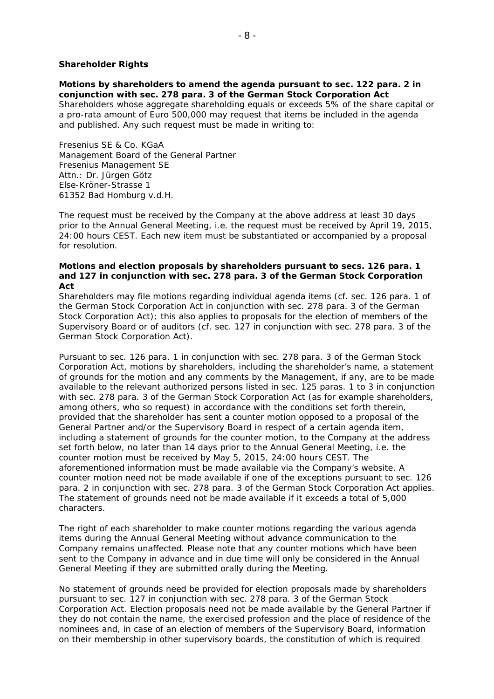### **Shareholder Rights**

## *Motions by shareholders to amend the agenda pursuant to sec. 122 para. 2 in conjunction with sec. 278 para. 3 of the German Stock Corporation Act*

Shareholders whose aggregate shareholding equals or exceeds 5% of the share capital or a pro-rata amount of Euro 500,000 may request that items be included in the agenda and published. Any such request must be made in writing to:

Fresenius SE & Co. KGaA Management Board of the General Partner Fresenius Management SE Attn.: Dr. Jürgen Götz Else-Kröner-Strasse 1 61352 Bad Homburg v.d.H.

The request must be received by the Company at the above address at least 30 days prior to the Annual General Meeting, i.e. the request must be received by April 19, 2015, 24:00 hours CEST. Each new item must be substantiated or accompanied by a proposal for resolution*.*

#### *Motions and election proposals by shareholders pursuant to secs. 126 para. 1 and 127 in conjunction with sec. 278 para. 3 of the German Stock Corporation Act*

Shareholders may file motions regarding individual agenda items (cf. sec. 126 para. 1 of the German Stock Corporation Act in conjunction with sec. 278 para. 3 of the German Stock Corporation Act); this also applies to proposals for the election of members of the Supervisory Board or of auditors (cf. sec. 127 in conjunction with sec. 278 para. 3 of the German Stock Corporation Act).

Pursuant to sec. 126 para. 1 in conjunction with sec. 278 para. 3 of the German Stock Corporation Act, motions by shareholders, including the shareholder's name, a statement of grounds for the motion and any comments by the Management, if any, are to be made available to the relevant authorized persons listed in sec. 125 paras. 1 to 3 in conjunction with sec. 278 para. 3 of the German Stock Corporation Act (as for example shareholders, among others, who so request) in accordance with the conditions set forth therein, provided that the shareholder has sent a counter motion opposed to a proposal of the General Partner and/or the Supervisory Board in respect of a certain agenda item, including a statement of grounds for the counter motion, to the Company at the address set forth below, no later than 14 days prior to the Annual General Meeting, i.e. the counter motion must be received by May 5, 2015, 24:00 hours CEST. The aforementioned information must be made available via the Company's website. A counter motion need not be made available if one of the exceptions pursuant to sec. 126 para. 2 in conjunction with sec. 278 para. 3 of the German Stock Corporation Act applies. The statement of grounds need not be made available if it exceeds a total of 5,000 characters.

The right of each shareholder to make counter motions regarding the various agenda items during the Annual General Meeting without advance communication to the Company remains unaffected. Please note that any counter motions which have been sent to the Company in advance and in due time will only be considered in the Annual General Meeting if they are submitted orally during the Meeting.

No statement of grounds need be provided for election proposals made by shareholders pursuant to sec. 127 in conjunction with sec. 278 para. 3 of the German Stock Corporation Act. Election proposals need not be made available by the General Partner if they do not contain the name, the exercised profession and the place of residence of the nominees and, in case of an election of members of the Supervisory Board, information on their membership in other supervisory boards, the constitution of which is required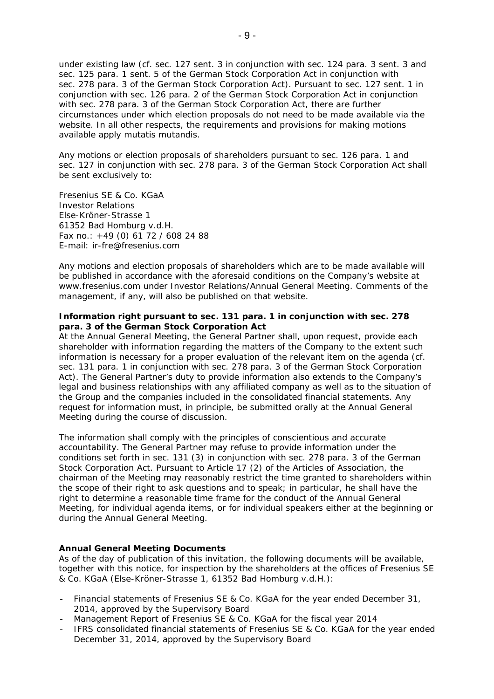under existing law (cf. sec. 127 sent. 3 in conjunction with sec. 124 para. 3 sent. 3 and sec. 125 para. 1 sent. 5 of the German Stock Corporation Act in conjunction with sec. 278 para. 3 of the German Stock Corporation Act). Pursuant to sec. 127 sent. 1 in conjunction with sec. 126 para. 2 of the German Stock Corporation Act in conjunction with sec. 278 para. 3 of the German Stock Corporation Act, there are further circumstances under which election proposals do not need to be made available via the website. In all other respects, the requirements and provisions for making motions available apply mutatis mutandis.

Any motions or election proposals of shareholders pursuant to sec. 126 para. 1 and sec. 127 in conjunction with sec. 278 para. 3 of the German Stock Corporation Act shall be sent exclusively to:

Fresenius SE & Co. KGaA Investor Relations Else-Kröner-Strasse 1 61352 Bad Homburg v.d.H. Fax no.: +49 (0) 61 72 / 608 24 88 E-mail: ir-fre@fresenius.com

Any motions and election proposals of shareholders which are to be made available will be published in accordance with the aforesaid conditions on the Company's website at www.fresenius.com under Investor Relations/Annual General Meeting. Comments of the management, if any, will also be published on that website.

### *Information right pursuant to sec. 131 para. 1 in conjunction with sec. 278 para. 3 of the German Stock Corporation Act*

At the Annual General Meeting, the General Partner shall, upon request, provide each shareholder with information regarding the matters of the Company to the extent such information is necessary for a proper evaluation of the relevant item on the agenda (cf. sec. 131 para. 1 in conjunction with sec. 278 para. 3 of the German Stock Corporation Act). The General Partner's duty to provide information also extends to the Company's legal and business relationships with any affiliated company as well as to the situation of the Group and the companies included in the consolidated financial statements. Any request for information must, in principle, be submitted orally at the Annual General Meeting during the course of discussion.

The information shall comply with the principles of conscientious and accurate accountability. The General Partner may refuse to provide information under the conditions set forth in sec. 131 (3) in conjunction with sec. 278 para. 3 of the German Stock Corporation Act. Pursuant to Article 17 (2) of the Articles of Association, the chairman of the Meeting may reasonably restrict the time granted to shareholders within the scope of their right to ask questions and to speak; in particular, he shall have the right to determine a reasonable time frame for the conduct of the Annual General Meeting, for individual agenda items, or for individual speakers either at the beginning or during the Annual General Meeting.

## **Annual General Meeting Documents**

As of the day of publication of this invitation, the following documents will be available, together with this notice, for inspection by the shareholders at the offices of Fresenius SE & Co. KGaA (Else-Kröner-Strasse 1, 61352 Bad Homburg v.d.H.):

- Financial statements of Fresenius SE & Co. KGaA for the year ended December 31, 2014, approved by the Supervisory Board
- Management Report of Fresenius SE & Co. KGaA for the fiscal year 2014
- IFRS consolidated financial statements of Fresenius SE & Co. KGaA for the year ended December 31, 2014, approved by the Supervisory Board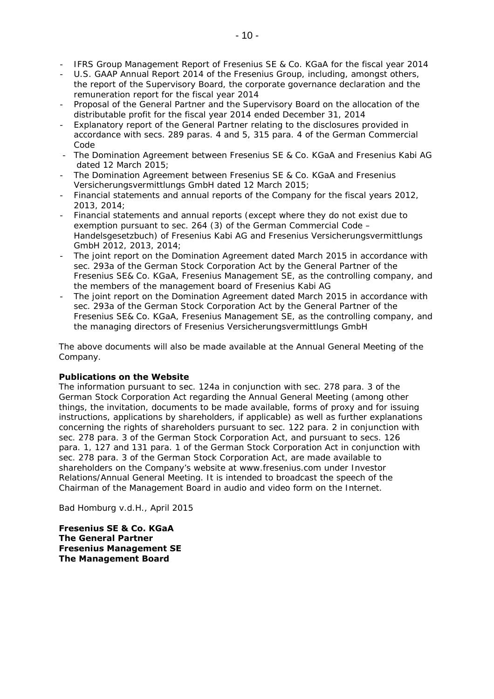- IFRS Group Management Report of Fresenius SE & Co. KGaA for the fiscal year 2014
- U.S. GAAP Annual Report 2014 of the Fresenius Group, including, amongst others, the report of the Supervisory Board, the corporate governance declaration and the remuneration report for the fiscal year 2014
- Proposal of the General Partner and the Supervisory Board on the allocation of the distributable profit for the fiscal year 2014 ended December 31, 2014
- Explanatory report of the General Partner relating to the disclosures provided in accordance with secs. 289 paras. 4 and 5, 315 para. 4 of the German Commercial Code
- The Domination Agreement between Fresenius SE & Co. KGaA and Fresenius Kabi AG dated 12 March 2015;
- The Domination Agreement between Fresenius SE & Co. KGaA and Fresenius Versicherungsvermittlungs GmbH dated 12 March 2015;
- Financial statements and annual reports of the Company for the fiscal years 2012, 2013, 2014;
- Financial statements and annual reports (except where they do not exist due to exemption pursuant to sec. 264 (3) of the German Commercial Code – Handelsgesetzbuch) of Fresenius Kabi AG and Fresenius Versicherungsvermittlungs GmbH 2012, 2013, 2014;
- The joint report on the Domination Agreement dated March 2015 in accordance with sec. 293a of the German Stock Corporation Act by the General Partner of the Fresenius SE& Co. KGaA, Fresenius Management SE, as the controlling company, and the members of the management board of Fresenius Kabi AG
- The joint report on the Domination Agreement dated March 2015 in accordance with sec. 293a of the German Stock Corporation Act by the General Partner of the Fresenius SE& Co. KGaA, Fresenius Management SE, as the controlling company, and the managing directors of Fresenius Versicherungsvermittlungs GmbH

The above documents will also be made available at the Annual General Meeting of the Company.

## **Publications on the Website**

The information pursuant to sec. 124a in conjunction with sec. 278 para. 3 of the German Stock Corporation Act regarding the Annual General Meeting (among other things, the invitation, documents to be made available, forms of proxy and for issuing instructions, applications by shareholders, if applicable) as well as further explanations concerning the rights of shareholders pursuant to sec. 122 para. 2 in conjunction with sec. 278 para. 3 of the German Stock Corporation Act, and pursuant to secs. 126 para. 1, 127 and 131 para. 1 of the German Stock Corporation Act in conjunction with sec. 278 para. 3 of the German Stock Corporation Act, are made available to shareholders on the Company's website at www.fresenius.com under Investor Relations/Annual General Meeting. It is intended to broadcast the speech of the Chairman of the Management Board in audio and video form on the Internet.

Bad Homburg v.d.H., April 2015

**Fresenius SE & Co. KGaA The General Partner Fresenius Management SE The Management Board**